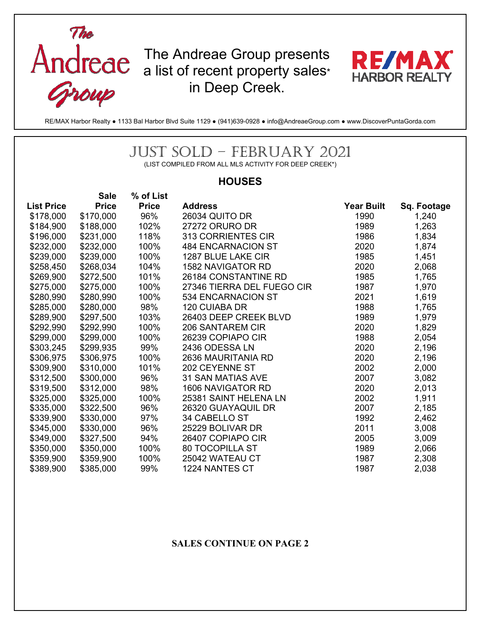

RE/MAX Harbor Realty ● 1133 Bal Harbor Blvd Suite 1129 ● (941)639-0928 ● info@AndreaeGroup.com ● www.DiscoverPuntaGorda.com

## JUST SOLD – FEBRUARY 2021

(LIST COMPILED FROM ALL MLS ACTIVITY FOR DEEP CREEK\*)

## **HOUSES**

|                   | <b>Sale</b>  | % of List    |                            |                   |             |
|-------------------|--------------|--------------|----------------------------|-------------------|-------------|
| <b>List Price</b> | <b>Price</b> | <b>Price</b> | <b>Address</b>             | <b>Year Built</b> | Sq. Footage |
| \$178,000         | \$170,000    | 96%          | <b>26034 QUITO DR</b>      | 1990              | 1,240       |
| \$184,900         | \$188,000    | 102%         | 27272 ORURO DR             | 1989              | 1,263       |
| \$196,000         | \$231,000    | 118%         | 313 CORRIENTES CIR         | 1986              | 1,834       |
| \$232,000         | \$232,000    | 100%         | <b>484 ENCARNACION ST</b>  | 2020              | 1,874       |
| \$239,000         | \$239,000    | 100%         | 1287 BLUE LAKE CIR         | 1985              | 1,451       |
| \$258,450         | \$268,034    | 104%         | <b>1582 NAVIGATOR RD</b>   | 2020              | 2,068       |
| \$269,900         | \$272,500    | 101%         | 26184 CONSTANTINE RD       | 1985              | 1,765       |
| \$275,000         | \$275,000    | 100%         | 27346 TIERRA DEL FUEGO CIR | 1987              | 1,970       |
| \$280,990         | \$280,990    | 100%         | 534 ENCARNACION ST         | 2021              | 1,619       |
| \$285,000         | \$280,000    | 98%          | 120 CUIABA DR              | 1988              | 1,765       |
| \$289,900         | \$297,500    | 103%         | 26403 DEEP CREEK BLVD      | 1989              | 1,979       |
| \$292,990         | \$292,990    | 100%         | 206 SANTAREM CIR           | 2020              | 1,829       |
| \$299,000         | \$299,000    | 100%         | 26239 COPIAPO CIR          | 1988              | 2,054       |
| \$303,245         | \$299,935    | 99%          | 2436 ODESSA LN             | 2020              | 2,196       |
| \$306,975         | \$306,975    | 100%         | 2636 MAURITANIA RD         | 2020              | 2,196       |
| \$309,900         | \$310,000    | 101%         | 202 CEYENNE ST             | 2002              | 2,000       |
| \$312,500         | \$300,000    | 96%          | <b>31 SAN MATIAS AVE</b>   | 2007              | 3,082       |
| \$319,500         | \$312,000    | 98%          | <b>1606 NAVIGATOR RD</b>   | 2020              | 2,013       |
| \$325,000         | \$325,000    | 100%         | 25381 SAINT HELENA LN      | 2002              | 1,911       |
| \$335,000         | \$322,500    | 96%          | 26320 GUAYAQUIL DR         | 2007              | 2,185       |
| \$339,900         | \$330,000    | 97%          | 34 CABELLO ST              | 1992              | 2,462       |
| \$345,000         | \$330,000    | 96%          | 25229 BOLIVAR DR           | 2011              | 3,008       |
| \$349,000         | \$327,500    | 94%          | 26407 COPIAPO CIR          | 2005              | 3,009       |
| \$350,000         | \$350,000    | 100%         | <b>80 TOCOPILLA ST</b>     | 1989              | 2,066       |
| \$359,900         | \$359,900    | 100%         | 25042 WATEAU CT            | 1987              | 2,308       |
| \$389,900         | \$385,000    | 99%          | 1224 NANTES CT             | 1987              | 2,038       |

## **SALES CONTINUE ON PAGE 2**